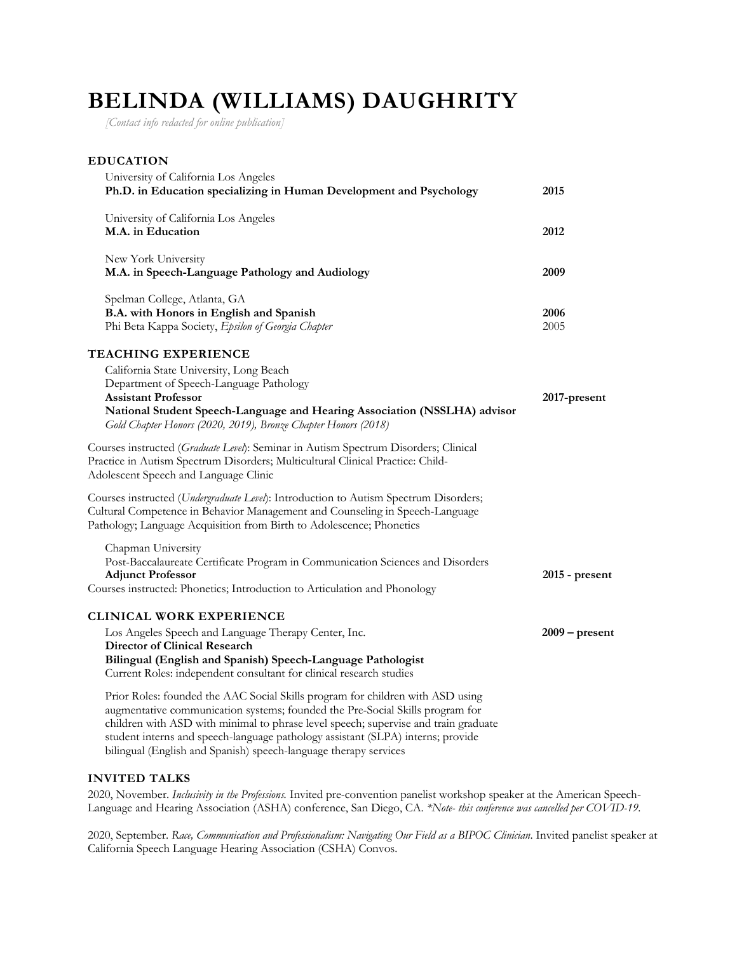# **BELINDA (WILLIAMS) DAUGHRITY**

*[Contact info redacted for online publication]*

# **EDUCATION** University of California Los Angeles **Ph.D. in Education specializing in Human Development and Psychology 2015** University of California Los Angeles **M.A. in Education 2012** New York University **M.A. in Speech-Language Pathology and Audiology 2009** Spelman College, Atlanta, GA **B.A. with Honors in English and Spanish 2006** Phi Beta Kappa Society, *Epsilon of Georgia Chapter* 2005 **TEACHING EXPERIENCE** California State University, Long Beach Department of Speech-Language Pathology **Assistant Professor 2017-present National Student Speech-Language and Hearing Association (NSSLHA) advisor** *Gold Chapter Honors (2020, 2019), Bronze Chapter Honors (2018)* Courses instructed (*Graduate Level*): Seminar in Autism Spectrum Disorders; Clinical Practice in Autism Spectrum Disorders; Multicultural Clinical Practice: Child-Adolescent Speech and Language Clinic Courses instructed (*Undergraduate Level*): Introduction to Autism Spectrum Disorders; Cultural Competence in Behavior Management and Counseling in Speech-Language Pathology; Language Acquisition from Birth to Adolescence; Phonetics Chapman University Post-Baccalaureate Certificate Program in Communication Sciences and Disorders **Adjunct Professor 2015 - present** Courses instructed: Phonetics; Introduction to Articulation and Phonology **CLINICAL WORK EXPERIENCE** Los Angeles Speech and Language Therapy Center, Inc. **2009 – present Director of Clinical Research Bilingual (English and Spanish) Speech-Language Pathologist** Current Roles: independent consultant for clinical research studies Prior Roles: founded the AAC Social Skills program for children with ASD using augmentative communication systems; founded the Pre-Social Skills program for children with ASD with minimal to phrase level speech; supervise and train graduate student interns and speech-language pathology assistant (SLPA) interns; provide

bilingual (English and Spanish) speech-language therapy services

# **INVITED TALKS**

2020, November. *Inclusivity in the Professions.* Invited pre-convention panelist workshop speaker at the American Speech-Language and Hearing Association (ASHA) conference, San Diego, CA. *\*Note- this conference was cancelled per COVID-19.*

2020, September. *Race, Communication and Professionalism: Navigating Our Field as a BIPOC Clinician*. Invited panelist speaker at California Speech Language Hearing Association (CSHA) Convos.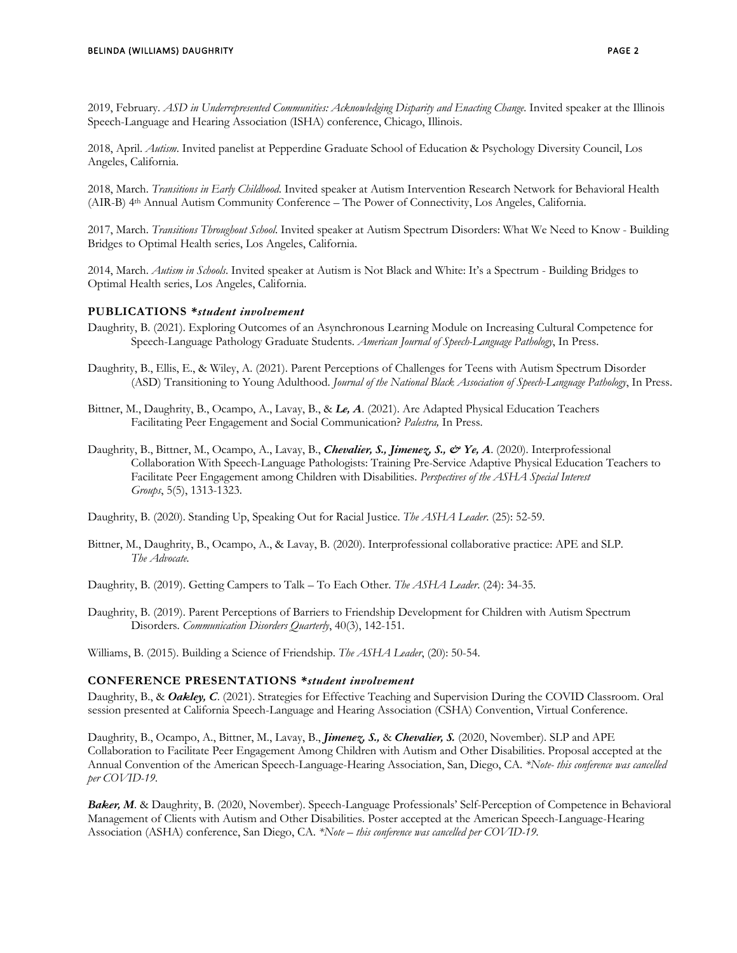2019, February. *ASD in Underrepresented Communities: Acknowledging Disparity and Enacting Change.* Invited speaker at the Illinois Speech-Language and Hearing Association (ISHA) conference, Chicago, Illinois.

2018, April. *Autism*. Invited panelist at Pepperdine Graduate School of Education & Psychology Diversity Council, Los Angeles, California.

2018, March. *Transitions in Early Childhood*. Invited speaker at Autism Intervention Research Network for Behavioral Health (AIR-B) 4th Annual Autism Community Conference – The Power of Connectivity, Los Angeles, California.

2017, March. *Transitions Throughout School*. Invited speaker at Autism Spectrum Disorders: What We Need to Know - Building Bridges to Optimal Health series, Los Angeles, California.

2014, March. *Autism in Schools*. Invited speaker at Autism is Not Black and White: It's a Spectrum - Building Bridges to Optimal Health series, Los Angeles, California.

#### **PUBLICATIONS** *\*student involvement*

- Daughrity, B. (2021). Exploring Outcomes of an Asynchronous Learning Module on Increasing Cultural Competence for Speech-Language Pathology Graduate Students. *American Journal of Speech-Language Pathology*, In Press.
- Daughrity, B., Ellis, E., & Wiley, A. (2021). Parent Perceptions of Challenges for Teens with Autism Spectrum Disorder (ASD) Transitioning to Young Adulthood. *Journal of the National Black Association of Speech-Language Pathology*, In Press.
- Bittner, M., Daughrity, B., Ocampo, A., Lavay, B., & *Le, A*. (2021). Are Adapted Physical Education Teachers Facilitating Peer Engagement and Social Communication? *Palestra,* In Press.
- Daughrity, B., Bittner, M., Ocampo, A., Lavay, B., *Chevalier, S., Jimenez, S., & Ye, A*. (2020). Interprofessional Collaboration With Speech-Language Pathologists: Training Pre-Service Adaptive Physical Education Teachers to Facilitate Peer Engagement among Children with Disabilities. *Perspectives of the ASHA Special Interest Groups*, 5(5), 1313-1323.

Daughrity, B. (2020). Standing Up, Speaking Out for Racial Justice. *The ASHA Leader*. (25): 52-59.

Bittner, M., Daughrity, B., Ocampo, A., & Lavay, B. (2020). Interprofessional collaborative practice: APE and SLP. *The Advocate.*

Daughrity, B. (2019). Getting Campers to Talk – To Each Other. *The ASHA Leader*. (24): 34-35.

Daughrity, B. (2019). Parent Perceptions of Barriers to Friendship Development for Children with Autism Spectrum Disorders. *Communication Disorders Quarterly*, 40(3), 142-151.

Williams, B. (2015). Building a Science of Friendship. *The ASHA Leader*, (20): 50-54.

#### **CONFERENCE PRESENTATIONS** *\*student involvement*

Daughrity, B., & *Oakley, C*. (2021). Strategies for Effective Teaching and Supervision During the COVID Classroom. Oral session presented at California Speech-Language and Hearing Association (CSHA) Convention, Virtual Conference.

Daughrity, B., Ocampo, A., Bittner, M., Lavay, B., *Jimenez, S.,* & *Chevalier, S.* (2020, November). SLP and APE Collaboration to Facilitate Peer Engagement Among Children with Autism and Other Disabilities. Proposal accepted at the Annual Convention of the American Speech-Language-Hearing Association, San, Diego, CA. *\*Note- this conference was cancelled per COVID-19.*

*Baker, M*. & Daughrity, B. (2020, November). Speech-Language Professionals' Self-Perception of Competence in Behavioral Management of Clients with Autism and Other Disabilities. Poster accepted at the American Speech-Language-Hearing Association (ASHA) conference, San Diego, CA. *\*Note – this conference was cancelled per COVID-19.*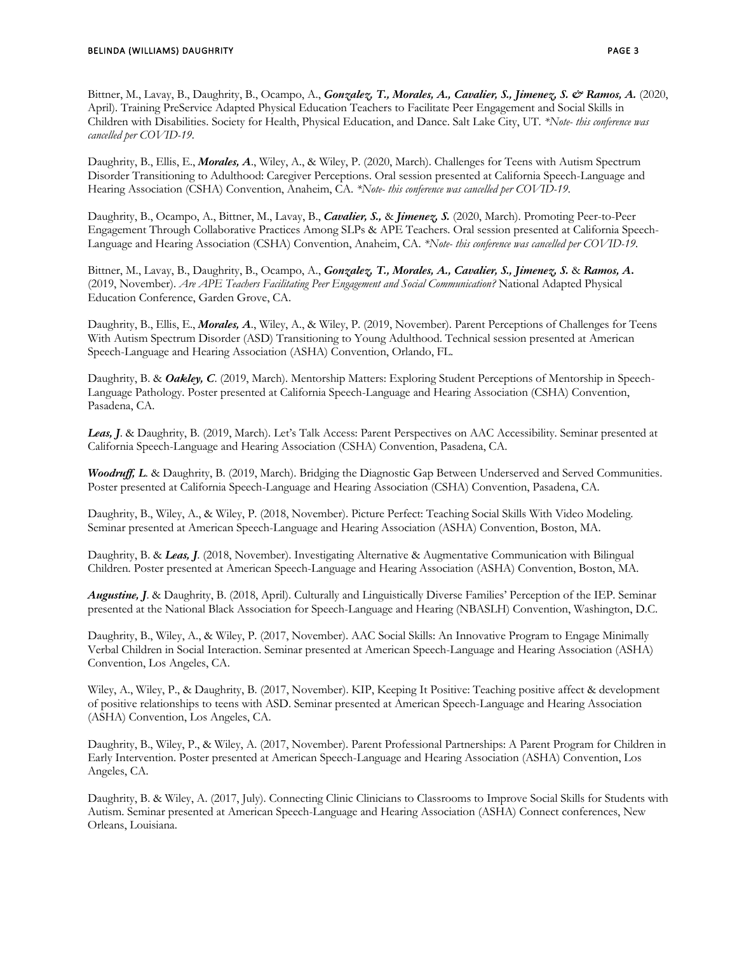Bittner, M., Lavay, B., Daughrity, B., Ocampo, A., *Gonzalez, T., Morales, A., Cavalier, S., Jimenez, S. & Ramos, A.* (2020, April). Training PreService Adapted Physical Education Teachers to Facilitate Peer Engagement and Social Skills in Children with Disabilities. Society for Health, Physical Education, and Dance. Salt Lake City, UT. *\*Note- this conference was cancelled per COVID-19.*

Daughrity, B., Ellis, E., *Morales, A*., Wiley, A., & Wiley, P. (2020, March). Challenges for Teens with Autism Spectrum Disorder Transitioning to Adulthood: Caregiver Perceptions. Oral session presented at California Speech-Language and Hearing Association (CSHA) Convention, Anaheim, CA. *\*Note- this conference was cancelled per COVID-19.*

Daughrity, B., Ocampo, A., Bittner, M., Lavay, B., *Cavalier, S.,* & *Jimenez, S.* (2020, March). Promoting Peer-to-Peer Engagement Through Collaborative Practices Among SLPs & APE Teachers. Oral session presented at California Speech-Language and Hearing Association (CSHA) Convention, Anaheim, CA. *\*Note- this conference was cancelled per COVID-19.*

Bittner, M., Lavay, B., Daughrity, B., Ocampo, A., *Gonzalez, T., Morales, A., Cavalier, S., Jimenez, S.* & *Ramos, A***.** (2019, November). *Are APE Teachers Facilitating Peer Engagement and Social Communication?* National Adapted Physical Education Conference, Garden Grove, CA.

Daughrity, B., Ellis, E., *Morales, A*., Wiley, A., & Wiley, P. (2019, November). Parent Perceptions of Challenges for Teens With Autism Spectrum Disorder (ASD) Transitioning to Young Adulthood. Technical session presented at American Speech-Language and Hearing Association (ASHA) Convention, Orlando, FL.

Daughrity, B. & *Oakley, C*. (2019, March). Mentorship Matters: Exploring Student Perceptions of Mentorship in Speech-Language Pathology. Poster presented at California Speech-Language and Hearing Association (CSHA) Convention, Pasadena, CA.

*Leas, J*. & Daughrity, B. (2019, March). Let's Talk Access: Parent Perspectives on AAC Accessibility. Seminar presented at California Speech-Language and Hearing Association (CSHA) Convention, Pasadena, CA.

*Woodruff, L*. & Daughrity, B. (2019, March). Bridging the Diagnostic Gap Between Underserved and Served Communities. Poster presented at California Speech-Language and Hearing Association (CSHA) Convention, Pasadena, CA.

Daughrity, B., Wiley, A., & Wiley, P. (2018, November). Picture Perfect: Teaching Social Skills With Video Modeling. Seminar presented at American Speech-Language and Hearing Association (ASHA) Convention, Boston, MA.

Daughrity, B. & *Leas, J*. (2018, November). Investigating Alternative & Augmentative Communication with Bilingual Children. Poster presented at American Speech-Language and Hearing Association (ASHA) Convention, Boston, MA.

*Augustine, J*. & Daughrity, B. (2018, April). Culturally and Linguistically Diverse Families' Perception of the IEP. Seminar presented at the National Black Association for Speech-Language and Hearing (NBASLH) Convention, Washington, D.C.

Daughrity, B., Wiley, A., & Wiley, P. (2017, November). AAC Social Skills: An Innovative Program to Engage Minimally Verbal Children in Social Interaction. Seminar presented at American Speech-Language and Hearing Association (ASHA) Convention, Los Angeles, CA.

Wiley, A., Wiley, P., & Daughrity, B. (2017, November). KIP, Keeping It Positive: Teaching positive affect & development of positive relationships to teens with ASD. Seminar presented at American Speech-Language and Hearing Association (ASHA) Convention, Los Angeles, CA.

Daughrity, B., Wiley, P., & Wiley, A. (2017, November). Parent Professional Partnerships: A Parent Program for Children in Early Intervention. Poster presented at American Speech-Language and Hearing Association (ASHA) Convention, Los Angeles, CA.

Daughrity, B. & Wiley, A. (2017, July). Connecting Clinic Clinicians to Classrooms to Improve Social Skills for Students with Autism. Seminar presented at American Speech-Language and Hearing Association (ASHA) Connect conferences, New Orleans, Louisiana.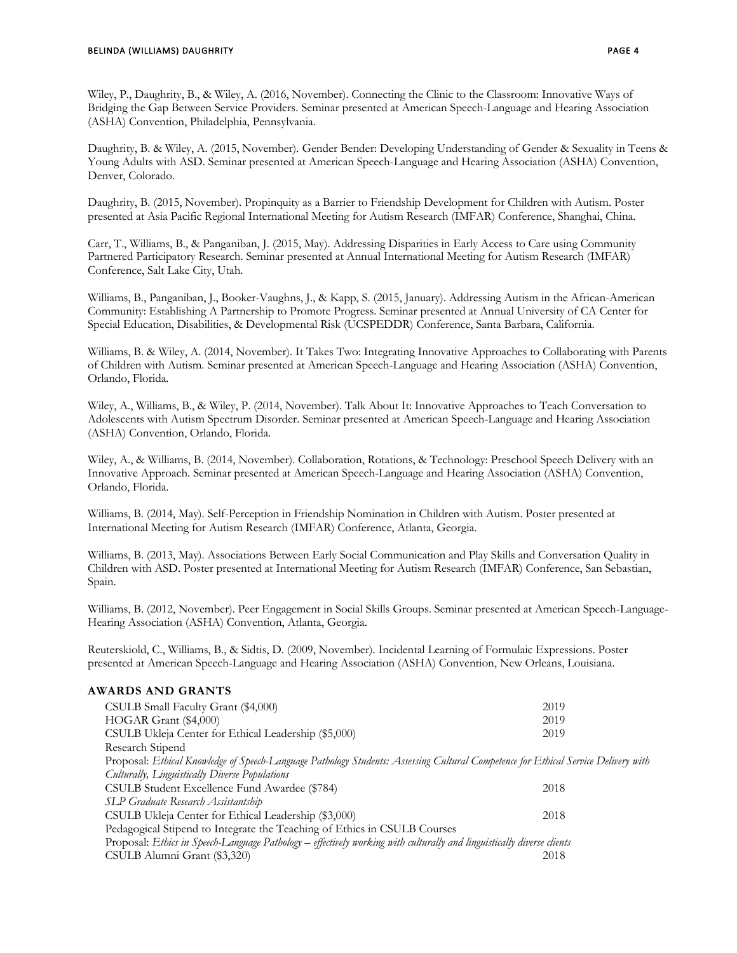Wiley, P., Daughrity, B., & Wiley, A. (2016, November). Connecting the Clinic to the Classroom: Innovative Ways of Bridging the Gap Between Service Providers. Seminar presented at American Speech-Language and Hearing Association (ASHA) Convention, Philadelphia, Pennsylvania.

Daughrity, B. & Wiley, A. (2015, November). Gender Bender: Developing Understanding of Gender & Sexuality in Teens & Young Adults with ASD. Seminar presented at American Speech-Language and Hearing Association (ASHA) Convention, Denver, Colorado.

Daughrity, B. (2015, November). Propinquity as a Barrier to Friendship Development for Children with Autism. Poster presented at Asia Pacific Regional International Meeting for Autism Research (IMFAR) Conference, Shanghai, China.

Carr, T., Williams, B., & Panganiban, J. (2015, May). Addressing Disparities in Early Access to Care using Community Partnered Participatory Research. Seminar presented at Annual International Meeting for Autism Research (IMFAR) Conference, Salt Lake City, Utah.

Williams, B., Panganiban, J., Booker-Vaughns, J., & Kapp, S. (2015, January). Addressing Autism in the African-American Community: Establishing A Partnership to Promote Progress. Seminar presented at Annual University of CA Center for Special Education, Disabilities, & Developmental Risk (UCSPEDDR) Conference, Santa Barbara, California.

Williams, B. & Wiley, A. (2014, November). It Takes Two: Integrating Innovative Approaches to Collaborating with Parents of Children with Autism. Seminar presented at American Speech-Language and Hearing Association (ASHA) Convention, Orlando, Florida.

Wiley, A., Williams, B., & Wiley, P. (2014, November). Talk About It: Innovative Approaches to Teach Conversation to Adolescents with Autism Spectrum Disorder. Seminar presented at American Speech-Language and Hearing Association (ASHA) Convention, Orlando, Florida.

Wiley, A., & Williams, B. (2014, November). Collaboration, Rotations, & Technology: Preschool Speech Delivery with an Innovative Approach. Seminar presented at American Speech-Language and Hearing Association (ASHA) Convention, Orlando, Florida.

Williams, B. (2014, May). Self-Perception in Friendship Nomination in Children with Autism. Poster presented at International Meeting for Autism Research (IMFAR) Conference, Atlanta, Georgia.

Williams, B. (2013, May). Associations Between Early Social Communication and Play Skills and Conversation Quality in Children with ASD. Poster presented at International Meeting for Autism Research (IMFAR) Conference, San Sebastian, Spain.

Williams, B. (2012, November). Peer Engagement in Social Skills Groups. Seminar presented at American Speech-Language-Hearing Association (ASHA) Convention, Atlanta, Georgia.

Reuterskiold, C., Williams, B., & Sidtis, D. (2009, November). Incidental Learning of Formulaic Expressions. Poster presented at American Speech-Language and Hearing Association (ASHA) Convention, New Orleans, Louisiana.

# **AWARDS AND GRANTS**

| CSULB Small Faculty Grant (\$4,000)                                                                                                | 2019 |  |
|------------------------------------------------------------------------------------------------------------------------------------|------|--|
|                                                                                                                                    |      |  |
| HOGAR Grant (\$4,000)                                                                                                              | 2019 |  |
| CSULB Ukleja Center for Ethical Leadership (\$5,000)                                                                               | 2019 |  |
| Research Stipend                                                                                                                   |      |  |
| Proposal: Ethical Knowledge of Speech-Language Pathology Students: Assessing Cultural Competence for Ethical Service Delivery with |      |  |
| Culturally, Linguistically Diverse Populations                                                                                     |      |  |
| CSULB Student Excellence Fund Awardee (\$784)                                                                                      | 2018 |  |
| SLP Graduate Research Assistantship                                                                                                |      |  |
| CSULB Ukleja Center for Ethical Leadership (\$3,000)                                                                               | 2018 |  |
| Pedagogical Stipend to Integrate the Teaching of Ethics in CSULB Courses                                                           |      |  |
| Proposal: Ethics in Speech-Language Pathology - effectively working with culturally and linguistically diverse clients             |      |  |
| CSULB Alumni Grant (\$3,320)                                                                                                       | 2018 |  |